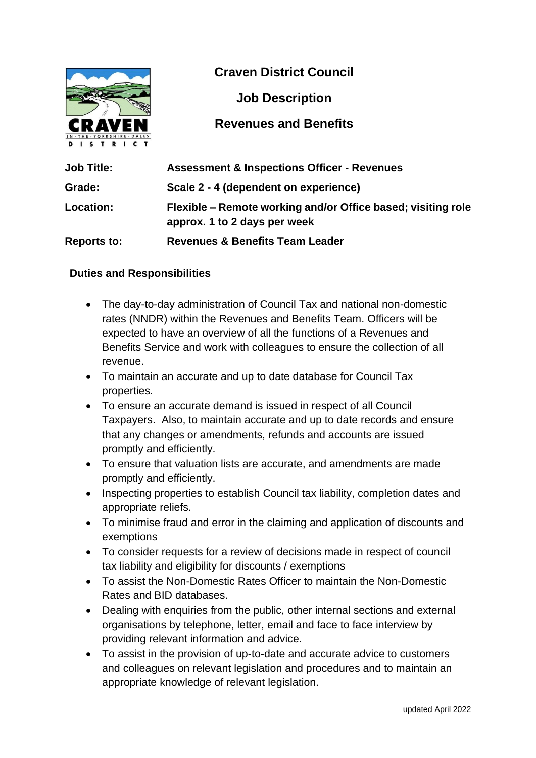

**Craven District Council**

**Job Description**

### **Revenues and Benefits**

| <b>Job Title:</b>  | <b>Assessment &amp; Inspections Officer - Revenues</b>                                       |
|--------------------|----------------------------------------------------------------------------------------------|
| Grade:             | Scale 2 - 4 (dependent on experience)                                                        |
| <b>Location:</b>   | Flexible – Remote working and/or Office based; visiting role<br>approx. 1 to 2 days per week |
| <b>Reports to:</b> | <b>Revenues &amp; Benefits Team Leader</b>                                                   |

#### **Duties and Responsibilities**

- The day-to-day administration of Council Tax and national non-domestic rates (NNDR) within the Revenues and Benefits Team. Officers will be expected to have an overview of all the functions of a Revenues and Benefits Service and work with colleagues to ensure the collection of all revenue.
- To maintain an accurate and up to date database for Council Tax properties.
- To ensure an accurate demand is issued in respect of all Council Taxpayers. Also, to maintain accurate and up to date records and ensure that any changes or amendments, refunds and accounts are issued promptly and efficiently.
- To ensure that valuation lists are accurate, and amendments are made promptly and efficiently.
- Inspecting properties to establish Council tax liability, completion dates and appropriate reliefs.
- To minimise fraud and error in the claiming and application of discounts and exemptions
- To consider requests for a review of decisions made in respect of council tax liability and eligibility for discounts / exemptions
- To assist the Non-Domestic Rates Officer to maintain the Non-Domestic Rates and BID databases.
- Dealing with enquiries from the public, other internal sections and external organisations by telephone, letter, email and face to face interview by providing relevant information and advice.
- To assist in the provision of up-to-date and accurate advice to customers and colleagues on relevant legislation and procedures and to maintain an appropriate knowledge of relevant legislation.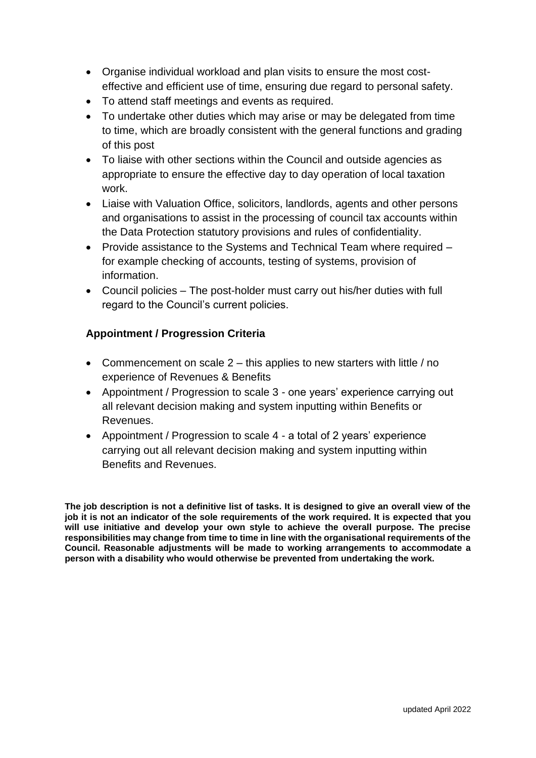- Organise individual workload and plan visits to ensure the most costeffective and efficient use of time, ensuring due regard to personal safety.
- To attend staff meetings and events as required.
- To undertake other duties which may arise or may be delegated from time to time, which are broadly consistent with the general functions and grading of this post
- To liaise with other sections within the Council and outside agencies as appropriate to ensure the effective day to day operation of local taxation work.
- Liaise with Valuation Office, solicitors, landlords, agents and other persons and organisations to assist in the processing of council tax accounts within the Data Protection statutory provisions and rules of confidentiality.
- Provide assistance to the Systems and Technical Team where required for example checking of accounts, testing of systems, provision of information.
- Council policies The post-holder must carry out his/her duties with full regard to the Council's current policies.

### **Appointment / Progression Criteria**

- Commencement on scale  $2 -$  this applies to new starters with little / no experience of Revenues & Benefits
- Appointment / Progression to scale 3 one years' experience carrying out all relevant decision making and system inputting within Benefits or Revenues.
- Appointment / Progression to scale 4 a total of 2 years' experience carrying out all relevant decision making and system inputting within Benefits and Revenues.

**The job description is not a definitive list of tasks. It is designed to give an overall view of the job it is not an indicator of the sole requirements of the work required. It is expected that you will use initiative and develop your own style to achieve the overall purpose. The precise responsibilities may change from time to time in line with the organisational requirements of the Council. Reasonable adjustments will be made to working arrangements to accommodate a person with a disability who would otherwise be prevented from undertaking the work.**